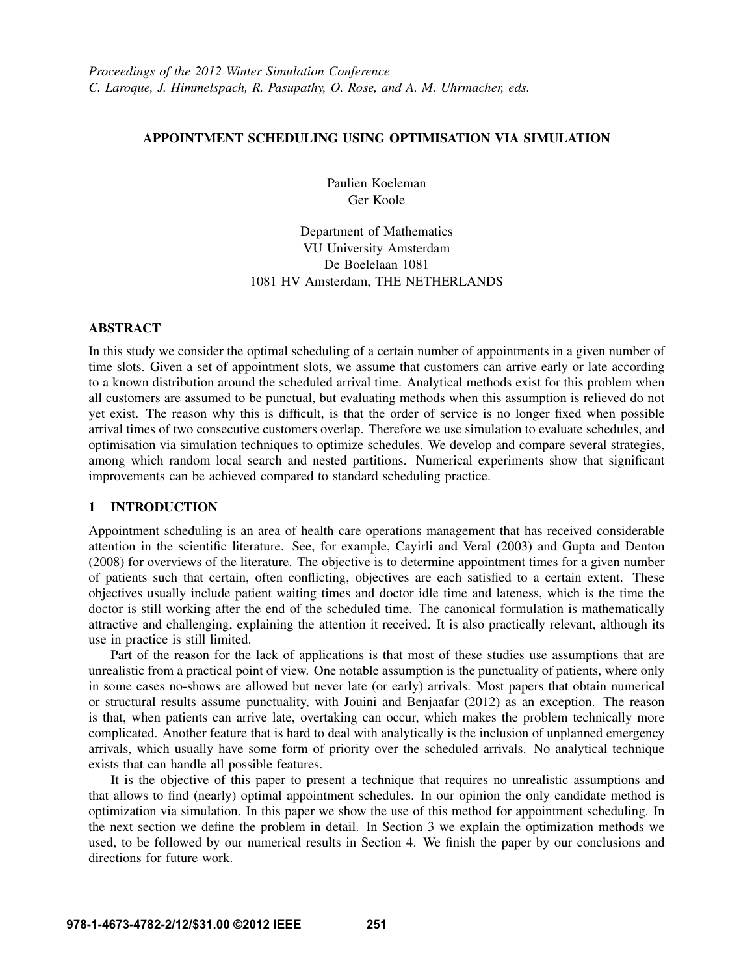## APPOINTMENT SCHEDULING USING OPTIMISATION VIA SIMULATION

Paulien Koeleman Ger Koole

Department of Mathematics VU University Amsterdam De Boelelaan 1081 1081 HV Amsterdam, THE NETHERLANDS

## ABSTRACT

In this study we consider the optimal scheduling of a certain number of appointments in a given number of time slots. Given a set of appointment slots, we assume that customers can arrive early or late according to a known distribution around the scheduled arrival time. Analytical methods exist for this problem when all customers are assumed to be punctual, but evaluating methods when this assumption is relieved do not yet exist. The reason why this is difficult, is that the order of service is no longer fixed when possible arrival times of two consecutive customers overlap. Therefore we use simulation to evaluate schedules, and optimisation via simulation techniques to optimize schedules. We develop and compare several strategies, among which random local search and nested partitions. Numerical experiments show that significant improvements can be achieved compared to standard scheduling practice.

# 1 INTRODUCTION

Appointment scheduling is an area of health care operations management that has received considerable attention in the scientific literature. See, for example, Cayirli and Veral (2003) and Gupta and Denton (2008) for overviews of the literature. The objective is to determine appointment times for a given number of patients such that certain, often conflicting, objectives are each satisfied to a certain extent. These objectives usually include patient waiting times and doctor idle time and lateness, which is the time the doctor is still working after the end of the scheduled time. The canonical formulation is mathematically attractive and challenging, explaining the attention it received. It is also practically relevant, although its use in practice is still limited.

Part of the reason for the lack of applications is that most of these studies use assumptions that are unrealistic from a practical point of view. One notable assumption is the punctuality of patients, where only in some cases no-shows are allowed but never late (or early) arrivals. Most papers that obtain numerical or structural results assume punctuality, with Jouini and Benjaafar (2012) as an exception. The reason is that, when patients can arrive late, overtaking can occur, which makes the problem technically more complicated. Another feature that is hard to deal with analytically is the inclusion of unplanned emergency arrivals, which usually have some form of priority over the scheduled arrivals. No analytical technique exists that can handle all possible features.

It is the objective of this paper to present a technique that requires no unrealistic assumptions and that allows to find (nearly) optimal appointment schedules. In our opinion the only candidate method is optimization via simulation. In this paper we show the use of this method for appointment scheduling. In the next section we define the problem in detail. In Section 3 we explain the optimization methods we used, to be followed by our numerical results in Section 4. We finish the paper by our conclusions and directions for future work.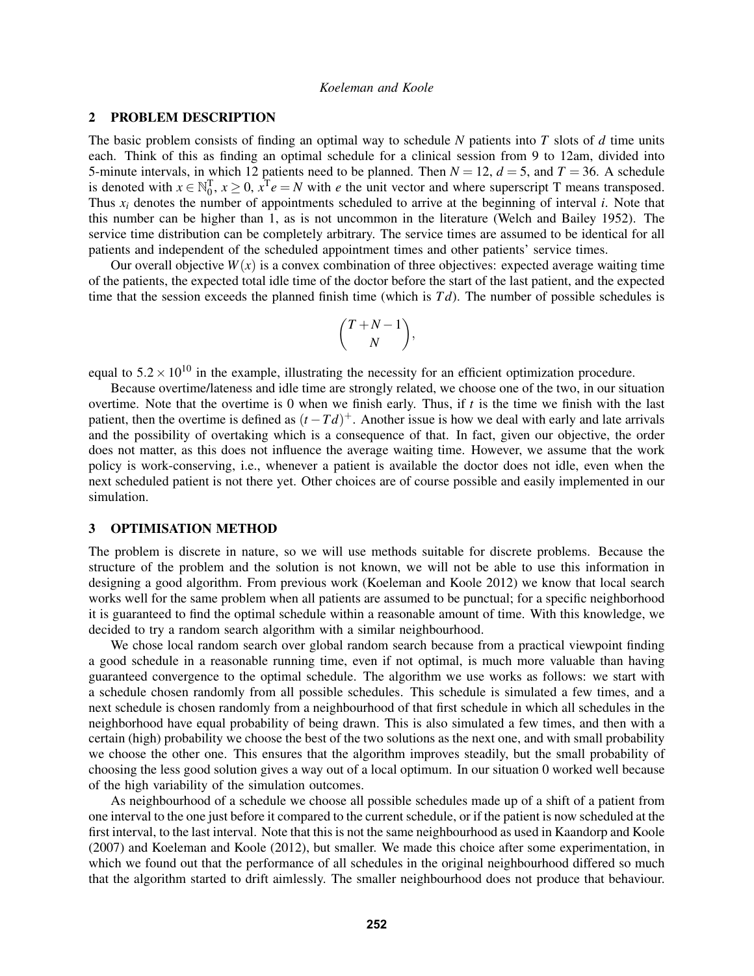#### 2 PROBLEM DESCRIPTION

The basic problem consists of finding an optimal way to schedule *N* patients into *T* slots of *d* time units each. Think of this as finding an optimal schedule for a clinical session from 9 to 12am, divided into 5-minute intervals, in which 12 patients need to be planned. Then  $N = 12$ ,  $d = 5$ , and  $T = 36$ . A schedule is denoted with  $x \in \mathbb{N}_0^T$ ,  $x \ge 0$ ,  $x^T e = N$  with *e* the unit vector and where superscript T means transposed. Thus *x<sup>i</sup>* denotes the number of appointments scheduled to arrive at the beginning of interval *i*. Note that this number can be higher than 1, as is not uncommon in the literature (Welch and Bailey 1952). The service time distribution can be completely arbitrary. The service times are assumed to be identical for all patients and independent of the scheduled appointment times and other patients' service times.

Our overall objective  $W(x)$  is a convex combination of three objectives: expected average waiting time of the patients, the expected total idle time of the doctor before the start of the last patient, and the expected time that the session exceeds the planned finish time (which is  $T d$ ). The number of possible schedules is

$$
\binom{T+N-1}{N},
$$

equal to  $5.2 \times 10^{10}$  in the example, illustrating the necessity for an efficient optimization procedure.

Because overtime/lateness and idle time are strongly related, we choose one of the two, in our situation overtime. Note that the overtime is 0 when we finish early. Thus, if *t* is the time we finish with the last patient, then the overtime is defined as  $(t - T d)^+$ . Another issue is how we deal with early and late arrivals and the possibility of overtaking which is a consequence of that. In fact, given our objective, the order does not matter, as this does not influence the average waiting time. However, we assume that the work policy is work-conserving, i.e., whenever a patient is available the doctor does not idle, even when the next scheduled patient is not there yet. Other choices are of course possible and easily implemented in our simulation.

## 3 OPTIMISATION METHOD

The problem is discrete in nature, so we will use methods suitable for discrete problems. Because the structure of the problem and the solution is not known, we will not be able to use this information in designing a good algorithm. From previous work (Koeleman and Koole 2012) we know that local search works well for the same problem when all patients are assumed to be punctual; for a specific neighborhood it is guaranteed to find the optimal schedule within a reasonable amount of time. With this knowledge, we decided to try a random search algorithm with a similar neighbourhood.

We chose local random search over global random search because from a practical viewpoint finding a good schedule in a reasonable running time, even if not optimal, is much more valuable than having guaranteed convergence to the optimal schedule. The algorithm we use works as follows: we start with a schedule chosen randomly from all possible schedules. This schedule is simulated a few times, and a next schedule is chosen randomly from a neighbourhood of that first schedule in which all schedules in the neighborhood have equal probability of being drawn. This is also simulated a few times, and then with a certain (high) probability we choose the best of the two solutions as the next one, and with small probability we choose the other one. This ensures that the algorithm improves steadily, but the small probability of choosing the less good solution gives a way out of a local optimum. In our situation 0 worked well because of the high variability of the simulation outcomes.

As neighbourhood of a schedule we choose all possible schedules made up of a shift of a patient from one interval to the one just before it compared to the current schedule, or if the patient is now scheduled at the first interval, to the last interval. Note that this is not the same neighbourhood as used in Kaandorp and Koole (2007) and Koeleman and Koole (2012), but smaller. We made this choice after some experimentation, in which we found out that the performance of all schedules in the original neighbourhood differed so much that the algorithm started to drift aimlessly. The smaller neighbourhood does not produce that behaviour.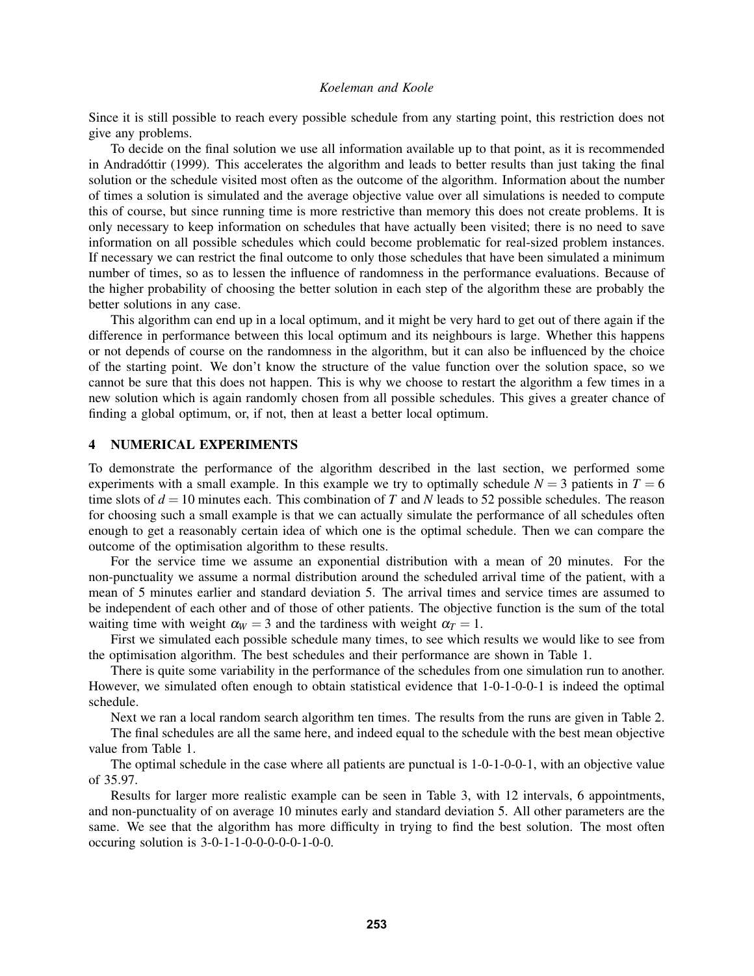Since it is still possible to reach every possible schedule from any starting point, this restriction does not give any problems.

To decide on the final solution we use all information available up to that point, as it is recommended in Andradóttir (1999). This accelerates the algorithm and leads to better results than just taking the final solution or the schedule visited most often as the outcome of the algorithm. Information about the number of times a solution is simulated and the average objective value over all simulations is needed to compute this of course, but since running time is more restrictive than memory this does not create problems. It is only necessary to keep information on schedules that have actually been visited; there is no need to save information on all possible schedules which could become problematic for real-sized problem instances. If necessary we can restrict the final outcome to only those schedules that have been simulated a minimum number of times, so as to lessen the influence of randomness in the performance evaluations. Because of the higher probability of choosing the better solution in each step of the algorithm these are probably the better solutions in any case.

This algorithm can end up in a local optimum, and it might be very hard to get out of there again if the difference in performance between this local optimum and its neighbours is large. Whether this happens or not depends of course on the randomness in the algorithm, but it can also be influenced by the choice of the starting point. We don't know the structure of the value function over the solution space, so we cannot be sure that this does not happen. This is why we choose to restart the algorithm a few times in a new solution which is again randomly chosen from all possible schedules. This gives a greater chance of finding a global optimum, or, if not, then at least a better local optimum.

#### 4 NUMERICAL EXPERIMENTS

To demonstrate the performance of the algorithm described in the last section, we performed some experiments with a small example. In this example we try to optimally schedule  $N = 3$  patients in  $T = 6$ time slots of  $d = 10$  minutes each. This combination of *T* and *N* leads to 52 possible schedules. The reason for choosing such a small example is that we can actually simulate the performance of all schedules often enough to get a reasonably certain idea of which one is the optimal schedule. Then we can compare the outcome of the optimisation algorithm to these results.

For the service time we assume an exponential distribution with a mean of 20 minutes. For the non-punctuality we assume a normal distribution around the scheduled arrival time of the patient, with a mean of 5 minutes earlier and standard deviation 5. The arrival times and service times are assumed to be independent of each other and of those of other patients. The objective function is the sum of the total waiting time with weight  $\alpha_W = 3$  and the tardiness with weight  $\alpha_T = 1$ .

First we simulated each possible schedule many times, to see which results we would like to see from the optimisation algorithm. The best schedules and their performance are shown in Table 1.

There is quite some variability in the performance of the schedules from one simulation run to another. However, we simulated often enough to obtain statistical evidence that 1-0-1-0-0-1 is indeed the optimal schedule.

Next we ran a local random search algorithm ten times. The results from the runs are given in Table 2.

The final schedules are all the same here, and indeed equal to the schedule with the best mean objective value from Table 1.

The optimal schedule in the case where all patients are punctual is 1-0-1-0-0-1, with an objective value of 35.97.

Results for larger more realistic example can be seen in Table 3, with 12 intervals, 6 appointments, and non-punctuality of on average 10 minutes early and standard deviation 5. All other parameters are the same. We see that the algorithm has more difficulty in trying to find the best solution. The most often occuring solution is 3-0-1-1-0-0-0-0-0-1-0-0.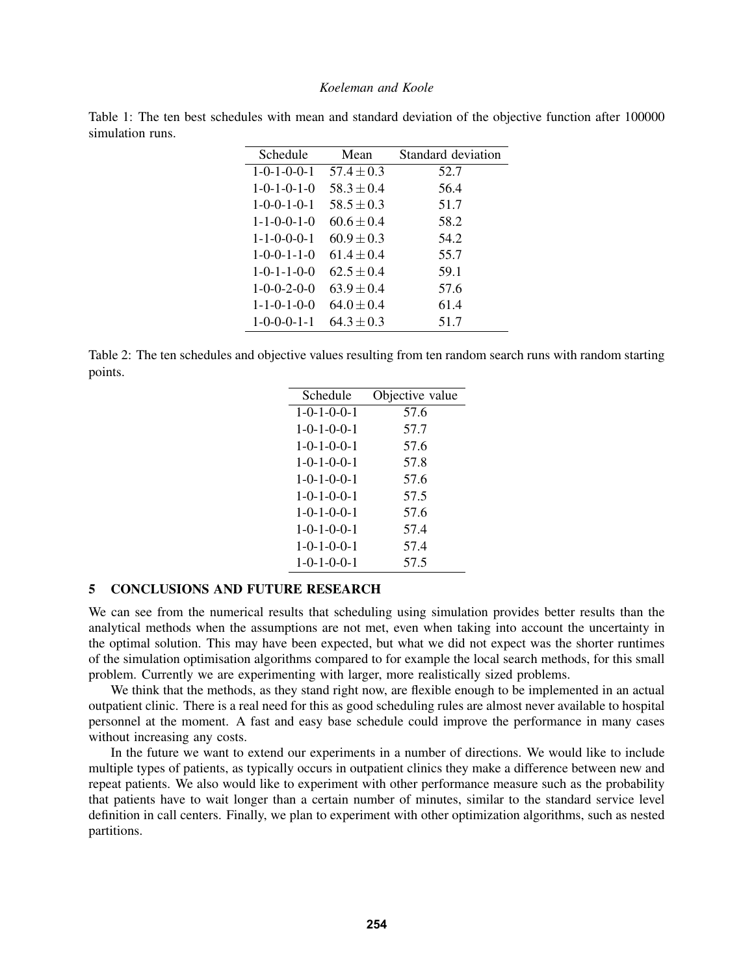Table 1: The ten best schedules with mean and standard deviation of the objective function after 100000 simulation runs.

| Schedule                | Mean           | Standard deviation |
|-------------------------|----------------|--------------------|
| $1 - 0 - 1 - 0 - 0 - 1$ | $57.4 \pm 0.3$ | 52.7               |
| $1 - 0 - 1 - 0 - 1 - 0$ | $58.3 \pm 0.4$ | 56.4               |
| $1 - 0 - 0 - 1 - 0 - 1$ | $58.5 \pm 0.3$ | 51.7               |
| $1 - 1 - 0 - 0 - 1 - 0$ | $60.6 \pm 0.4$ | 58.2               |
| $1 - 1 - 0 - 0 - 0 - 1$ | $60.9 + 0.3$   | 54.2               |
| $1 - 0 - 0 - 1 - 1 - 0$ | $61.4 + 0.4$   | 55.7               |
| $1 - 0 - 1 - 1 - 0 - 0$ | $62.5 + 0.4$   | 59.1               |
| $1 - 0 - 0 - 2 - 0 - 0$ | $63.9 \pm 0.4$ | 57.6               |
| $1 - 1 - 0 - 1 - 0 - 0$ | $64.0 \pm 0.4$ | 61.4               |
| $1 - 0 - 0 - 0 - 1 - 1$ | $64.3 \pm 0.3$ | 51.7               |

Table 2: The ten schedules and objective values resulting from ten random search runs with random starting points.

| Schedule                | Objective value |
|-------------------------|-----------------|
| $1 - 0 - 1 - 0 - 0 - 1$ | 57.6            |
| $1 - 0 - 1 - 0 - 0 - 1$ | 57.7            |
| $1 - 0 - 1 - 0 - 0 - 1$ | 57.6            |
| $1 - 0 - 1 - 0 - 0 - 1$ | 57.8            |
| $1 - 0 - 1 - 0 - 0 - 1$ | 57.6            |
| $1 - 0 - 1 - 0 - 0 - 1$ | 57.5            |
| $1 - 0 - 1 - 0 - 0 - 1$ | 57.6            |
| $1 - 0 - 1 - 0 - 0 - 1$ | 57.4            |
| $1 - 0 - 1 - 0 - 0 - 1$ | 57.4            |
| $1 - 0 - 1 - 0 - 0 - 1$ | 57.5            |

# 5 CONCLUSIONS AND FUTURE RESEARCH

We can see from the numerical results that scheduling using simulation provides better results than the analytical methods when the assumptions are not met, even when taking into account the uncertainty in the optimal solution. This may have been expected, but what we did not expect was the shorter runtimes of the simulation optimisation algorithms compared to for example the local search methods, for this small problem. Currently we are experimenting with larger, more realistically sized problems.

We think that the methods, as they stand right now, are flexible enough to be implemented in an actual outpatient clinic. There is a real need for this as good scheduling rules are almost never available to hospital personnel at the moment. A fast and easy base schedule could improve the performance in many cases without increasing any costs.

In the future we want to extend our experiments in a number of directions. We would like to include multiple types of patients, as typically occurs in outpatient clinics they make a difference between new and repeat patients. We also would like to experiment with other performance measure such as the probability that patients have to wait longer than a certain number of minutes, similar to the standard service level definition in call centers. Finally, we plan to experiment with other optimization algorithms, such as nested partitions.